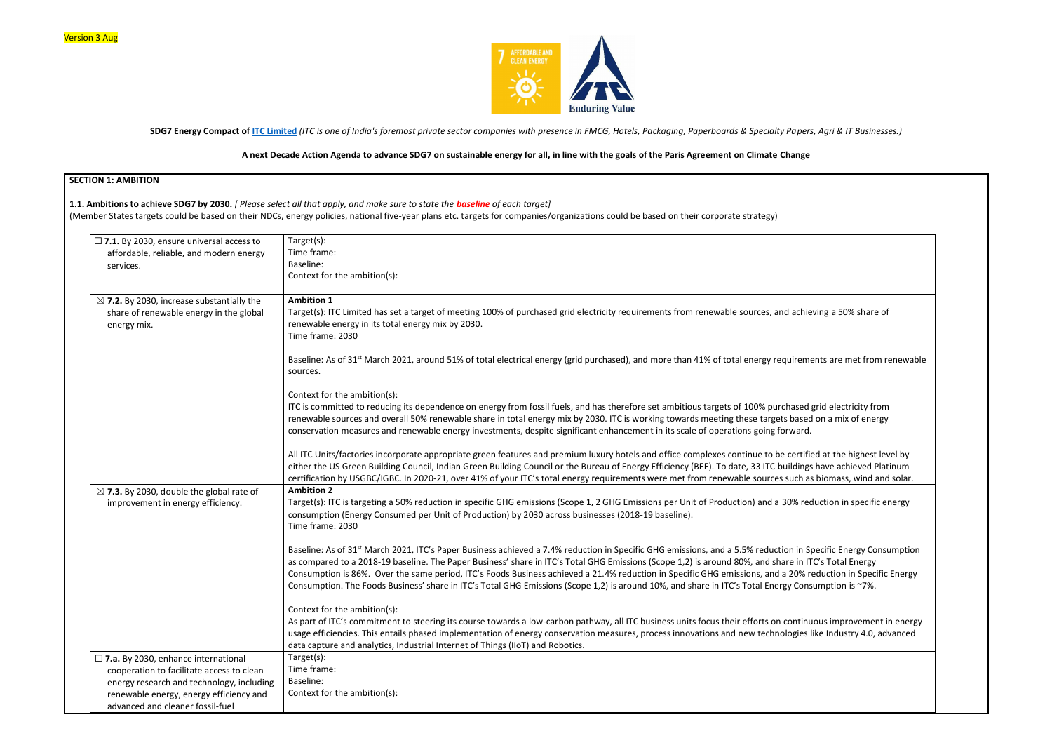

**SDG7 Energy Compact of [ITC Limited](https://www.itcportal.com/)** *(ITC is one of India's foremost private sector companies with presence in FMCG, Hotels, Packaging, Paperboards & Specialty Papers, Agri & IT Businesses.)*

#### **A next Decade Action Agenda to advance SDG7 on sustainable energy for all, in line with the goals of the Paris Agreement on Climate Change**

### **SECTION 1: AMBITION 1.1. Ambitions to achieve SDG7 by 2030.** *[ Please select all that apply, and make sure to state the baseline of each target]*  (Member States targets could be based on their NDCs, energy policies, national five-year plans etc. targets for companies/organizations could be based on their corporate strategy) ☐ **7.1.** By 2030, ensure universal access to affordable, reliable, and modern energy services. Target(s): Time frame: Baseline: Context for the ambition(s): ☒ **7.2.** By 2030, increase substantially the share of renewable energy in the global energy mix. **Ambition 1** Target(s): ITC Limited has set a target of meeting 100% of purchased grid electricity requirements from renewable sources, and a renewable energy in its total energy mix by 2030. Time frame: 2030 Baseline: As of 31<sup>st</sup> March 2021, around 51% of total electrical energy (grid purchased), and more than 41% of total energy requir sources. Context for the ambition(s): ITC is committed to reducing its dependence on energy from fossil fuels, and has therefore set ambitious targets of 100% purcha renewable sources and overall 50% renewable share in total energy mix by 2030. ITC is working towards meeting these targets based on a mix of energy mix by 2030. ITC is working towards meeting these targets based on a mix conservation measures and renewable energy investments, despite significant enhancement in its scale of operations going forw All ITC Units/factories incorporate appropriate green features and premium luxury hotels and office complexes continue to be ce either the US Green Building Council, Indian Green Building Council or the Bureau of Energy Efficiency (BEE). To date, 33 ITC build certification by USGBC/IGBC. In 2020-21, over 41% of your ITC's total energy requirements were met from renewable sources sur ☒ **7.3.** By 2030, double the global rate of improvement in energy efficiency. **Ambition 2** Target(s): ITC is targeting a 50% reduction in specific GHG emissions (Scope 1, 2 GHG Emissions per Unit of Production) and a 30% consumption (Energy Consumed per Unit of Production) by 2030 across businesses (2018-19 baseline). Time frame: 2030 Baseline: As of 31<sup>st</sup> March 2021, ITC's Paper Business achieved a 7.4% reduction in Specific GHG emissions, and a 5.5% reduction as compared to a 2018-19 baseline. The Paper Business' share in ITC's Total GHG Emissions (Scope 1,2) is around 80%, and share Consumption is 86%. Over the same period, ITC's Foods Business achieved a 21.4% reduction in Specific GHG emissions, and a 20 Consumption. The Foods Business' share in ITC's Total GHG Emissions (Scope 1,2) is around 10%, and share in ITC's Total Energy ( Context for the ambition(s): As part of ITC's commitment to steering its course towards a low-carbon pathway, all ITC business units focus their efforts on con usage efficiencies. This entails phased implementation of energy conservation measures, process innovations and new technolog data capture and analytics, Industrial Internet of Things (IIoT) and Robotics. ☐ **7.a.** By 2030, enhance international cooperation to facilitate access to clean energy research and technology, including renewable energy, energy efficiency and advanced and cleaner fossil-fuel Target(s): Time frame: Baseline: Context for the ambition(s):

| chieving a 50% share of                                                                                               |
|-----------------------------------------------------------------------------------------------------------------------|
| rements are met from renewable                                                                                        |
| sed grid electricity from<br>ased on a mix of energy<br>ard.                                                          |
| rtified at the highest level by<br>lings have achieved Platinum<br>ch as biomass, wind and solar.                     |
| 6 reduction in specific energy                                                                                        |
| in Specific Energy Consumption<br>in ITC's Total Energy<br>0% reduction in Specific Energy<br>Consumption is $~7\%$ . |
| tinuous improvement in energy<br>ies like Industry 4.0, advanced                                                      |
|                                                                                                                       |
|                                                                                                                       |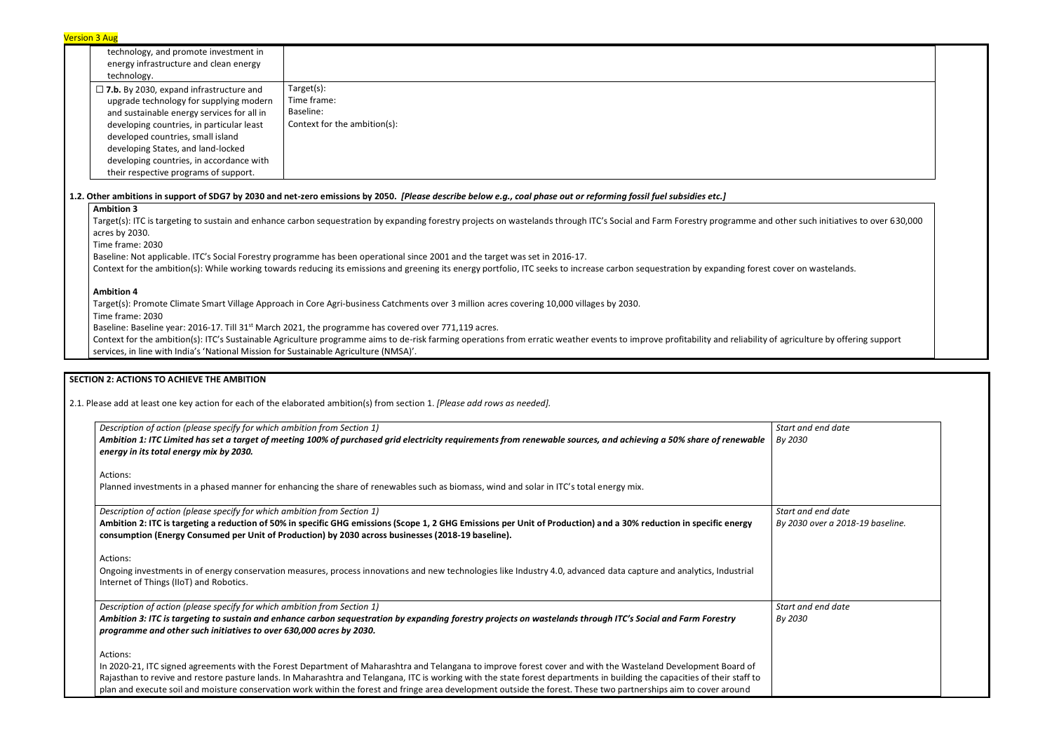| <b>Version 3 Aug</b>                           |                                                                                                                                                                                                  |
|------------------------------------------------|--------------------------------------------------------------------------------------------------------------------------------------------------------------------------------------------------|
| technology, and promote investment in          |                                                                                                                                                                                                  |
| energy infrastructure and clean energy         |                                                                                                                                                                                                  |
| technology.                                    |                                                                                                                                                                                                  |
| $\Box$ 7.b. By 2030, expand infrastructure and | Target(s):                                                                                                                                                                                       |
| upgrade technology for supplying modern        | Time frame:                                                                                                                                                                                      |
| and sustainable energy services for all in     | Baseline:                                                                                                                                                                                        |
| developing countries, in particular least      | Context for the ambition(s):                                                                                                                                                                     |
| developed countries, small island              |                                                                                                                                                                                                  |
| developing States, and land-locked             |                                                                                                                                                                                                  |
| developing countries, in accordance with       |                                                                                                                                                                                                  |
| their respective programs of support.          |                                                                                                                                                                                                  |
|                                                | 1.2. Other ambitions in support of SDG7 by 2030 and net-zero emissions by 2050. [Please describe below e.g., coal phase out or reforming fossil fuel subsidies etc.]                             |
| <b>Ambition 3</b>                              |                                                                                                                                                                                                  |
| acres by 2030.                                 | Target(s): ITC is targeting to sustain and enhance carbon sequestration by expanding forestry projects on wastelands through ITC's Social and Farm Forestry programme and other such initiatives |
| Time frame: 2030                               |                                                                                                                                                                                                  |
|                                                | Baseline: Not applicable. ITC's Social Forestry programme has been operational since 2001 and the target was set in 2016-17.                                                                     |
|                                                | Context for the ambition(s): While working towards reducing its emissions and greening its energy portfolio, ITC seeks to increase carbon sequestration by expanding forest cover on wastelands. |
| <b>Ambition 4</b>                              |                                                                                                                                                                                                  |
|                                                | Target(s): Promote Climate Smart Village Approach in Core Agri-business Catchments over 3 million acres covering 10,000 villages by 2030.                                                        |
| Timo framo: 2020.                              |                                                                                                                                                                                                  |

Context for the ambition(s): ITC's Sustainable Agriculture programme aims to de-risk farming operations from erratic weather events to improve profitability and reliability of agriculture by offering support services, in line with India's 'National Mission for Sustainable Agriculture (NMSA)'.

Time frame: 2030

Baseline: Baseline year: 2016-17. Till 31<sup>st</sup> March 2021, the programme has covered over 771,119 acres.

**SECTION 2: ACTIONS TO ACHIEVE THE AMBITION** 

2.1. Please add at least one key action for each of the elaborated ambition(s) from section 1. *[Please add rows as needed].*

| Description of action (please specify for which ambition from Section 1)                                                                                                                                                                                                                                                                        | Start           |
|-------------------------------------------------------------------------------------------------------------------------------------------------------------------------------------------------------------------------------------------------------------------------------------------------------------------------------------------------|-----------------|
| Ambition 1: ITC Limited has set a target of meeting 100% of purchased grid electricity requirements from renewable sources, and achieving a 50% share of renewable<br>energy in its total energy mix by 2030.                                                                                                                                   | By 2            |
| Actions:                                                                                                                                                                                                                                                                                                                                        |                 |
| Planned investments in a phased manner for enhancing the share of renewables such as biomass, wind and solar in ITC's total energy mix.                                                                                                                                                                                                         |                 |
| Description of action (please specify for which ambition from Section 1)                                                                                                                                                                                                                                                                        | Start           |
| Ambition 2: ITC is targeting a reduction of 50% in specific GHG emissions (Scope 1, 2 GHG Emissions per Unit of Production) and a 30% reduction in specific energy<br>consumption (Energy Consumed per Unit of Production) by 2030 across businesses (2018-19 baseline).                                                                        | By <sub>2</sub> |
| Actions:                                                                                                                                                                                                                                                                                                                                        |                 |
| Ongoing investments in of energy conservation measures, process innovations and new technologies like Industry 4.0, advanced data capture and analytics, Industrial<br>Internet of Things (IIoT) and Robotics.                                                                                                                                  |                 |
| Description of action (please specify for which ambition from Section 1)                                                                                                                                                                                                                                                                        | Start           |
| Ambition 3: ITC is targeting to sustain and enhance carbon sequestration by expanding forestry projects on wastelands through ITC's Social and Farm Forestry<br>programme and other such initiatives to over 630,000 acres by 2030.                                                                                                             | By <sub>2</sub> |
| Actions:                                                                                                                                                                                                                                                                                                                                        |                 |
| In 2020-21, ITC signed agreements with the Forest Department of Maharashtra and Telangana to improve forest cover and with the Wasteland Development Board of                                                                                                                                                                                   |                 |
| Rajasthan to revive and restore pasture lands. In Maharashtra and Telangana, ITC is working with the state forest departments in building the capacities of their staff to<br>plan and execute soil and moisture conservation work within the forest and fringe area development outside the forest. These two partnerships aim to cover around |                 |

ther such initiatives to over 630,000

*Start and end date By 2030 Start and end date By 2030 over a 2018-19 baseline. Start and end date By 2030*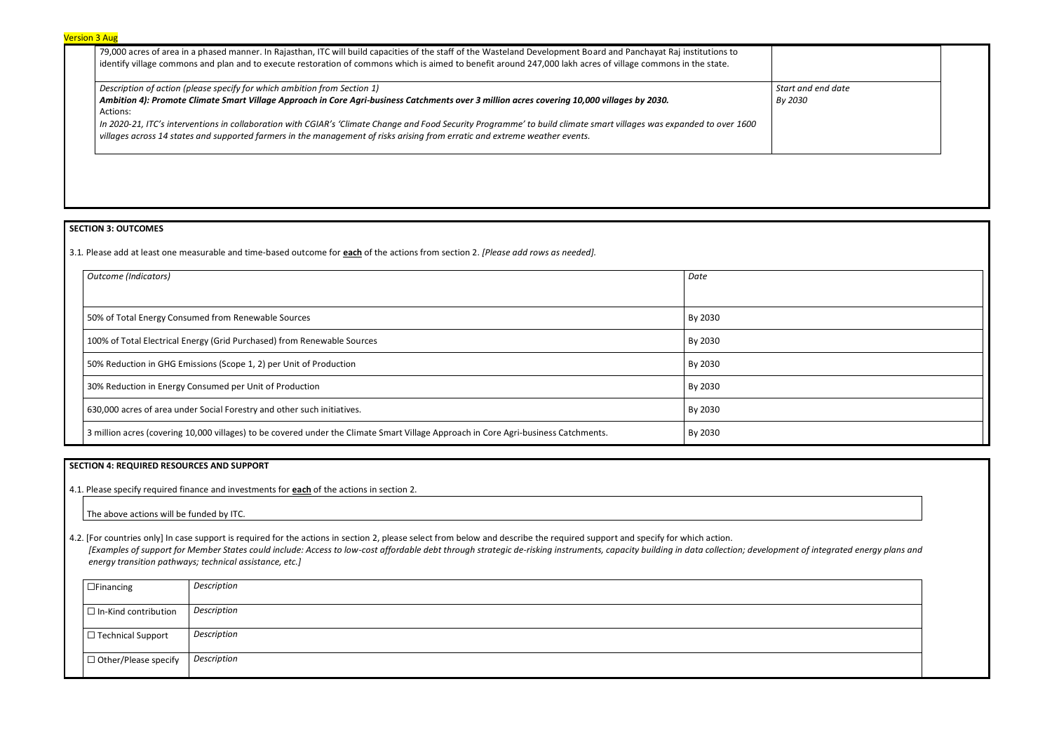79,000 acres of area in a phased manner. In Rajasthan, ITC will build capacities of the staff of the Wasteland Development Board and Panchayat Raj institutions to identify village commons and plan and to execute restoration of commons which is aimed to benefit around 247,000 lakh acres of village commons in the state.

| Description of action (please specify for which ambition from Section 1)                                                                                             | Start an |
|----------------------------------------------------------------------------------------------------------------------------------------------------------------------|----------|
| Ambition 4): Promote Climate Smart Village Approach in Core Agri-business Catchments over 3 million acres covering 10,000 villages by 2030.                          | By 2030  |
| Actions:                                                                                                                                                             |          |
| In 2020-21, ITC's interventions in collaboration with CGIAR's 'Climate Change and Food Security Programme' to build climate smart villages was expanded to over 1600 |          |

*villages across 14 states and supported farmers in the management of risks arising from erratic and extreme weather events.*

| Start and end date<br>By 2030        |  |
|--------------------------------------|--|
|                                      |  |
|                                      |  |
|                                      |  |
|                                      |  |
|                                      |  |
|                                      |  |
|                                      |  |
|                                      |  |
|                                      |  |
|                                      |  |
|                                      |  |
|                                      |  |
|                                      |  |
|                                      |  |
| oment of integrated energy plans and |  |
|                                      |  |
|                                      |  |
|                                      |  |
|                                      |  |

# **SECTION 3: OUTCOMES**

3.1*.* Please add at least one measurable and time-based outcome for **each** of the actions from section 2. *[Please add rows as needed].*

| Outcome (Indicators)                                                                                                                | Date    |
|-------------------------------------------------------------------------------------------------------------------------------------|---------|
|                                                                                                                                     |         |
| 50% of Total Energy Consumed from Renewable Sources<br>By 2030                                                                      |         |
| 100% of Total Electrical Energy (Grid Purchased) from Renewable Sources<br>By 2030                                                  |         |
| 50% Reduction in GHG Emissions (Scope 1, 2) per Unit of Production<br>By 2030                                                       |         |
| 30% Reduction in Energy Consumed per Unit of Production                                                                             | By 2030 |
| 630,000 acres of area under Social Forestry and other such initiatives.                                                             | By 2030 |
| 3 million acres (covering 10,000 villages) to be covered under the Climate Smart Village Approach in Core Agri-business Catchments. | By 2030 |

## **SECTION 4: REQUIRED RESOURCES AND SUPPORT**

4.1. Please specify required finance and investments for **each** of the actions in section 2.

The above actions will be funded by ITC.

4.2. [For countries only] In case support is required for the actions in section 2, please select from below and describe the required support and specify for which action. [Examples of support for Member States could include: Access to low-cost affordable debt through strategic de-risking instruments, capacity building in data collection; developmen *energy transition pathways; technical assistance, etc.]*

| $\Box$ Financing            | Description |
|-----------------------------|-------------|
| $\Box$ In-Kind contribution | Description |
| $\Box$ Technical Support    | Description |
| $\Box$ Other/Please specify | Description |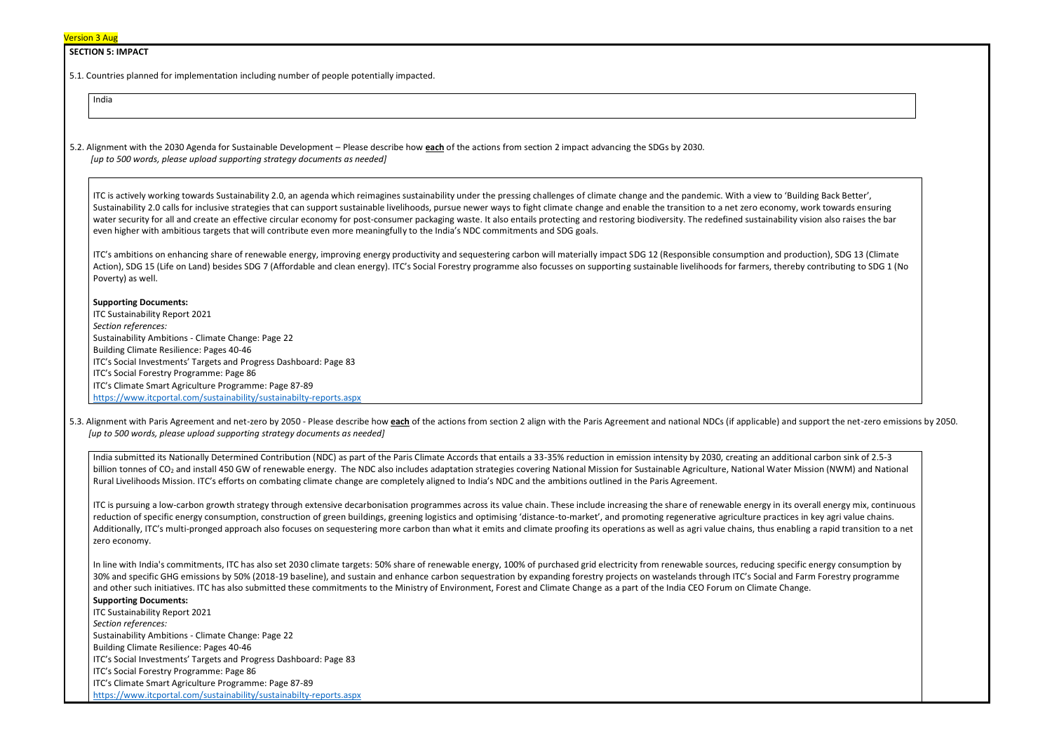| <b>Version 3 Aug</b> |
|----------------------|
|----------------------|

#### **SECTION 5: IMPACT**

5.1. Countries planned for implementation including number of people potentially impacted.

India

5.2. Alignment with the 2030 Agenda for Sustainable Development – Please describe how **each** of the actions from section 2 impact advancing the SDGs by 2030. *[up to 500 words, please upload supporting strategy documents as needed]* 

ITC is actively working towards Sustainability 2.0, an agenda which reimagines sustainability under the pressing challenges of climate change and the pandemic. With a view to 'Bu Sustainability 2.0 calls for inclusive strategies that can support sustainable livelihoods, pursue newer ways to fight climate change and enable the transition to a net zero economy water security for all and create an effective circular economy for post-consumer packaging waste. It also entails protecting and restoring biodiversity. The redefined sustainability even higher with ambitious targets that will contribute even more meaningfully to the India's NDC commitments and SDG goals.

5.3. Alignment with Paris Agreement and net-zero by 2050 - Please describe how each of the actions from section 2 align with the Paris Agreement and national NDCs (if applicable) and support the net-zero emissions by 2050. *[up to 500 words, please upload supporting strategy documents as needed]* 

ITC's ambitions on enhancing share of renewable energy, improving energy productivity and sequestering carbon will materially impact SDG 12 (Responsible consumption and production), SDG 13 (Climate Action), SDG 15 (Life on Land) besides SDG 7 (Affordable and clean energy). ITC's Social Forestry programme also focusses on supporting sustainable livelihoods for farmers, thereby contributing to SDG 1 (No Poverty) as well.

India submitted its Nationally Determined Contribution (NDC) as part of the Paris Climate Accords that entails a 33-35% reduction in emission intensity by 2030, creating an additional carbon since 20.5-35 and carbon since billion tonnes of CO<sub>2</sub> and install 450 GW of renewable energy. The NDC also includes adaptation strategies covering National Mission for Sustainable Agriculture, National Water I Rural Livelihoods Mission. ITC's efforts on combating climate change are completely aligned to India's NDC and the ambitions outlined in the Paris Agreement.

#### **Supporting Documents:**

ITC is pursuing a low-carbon growth strategy through extensive decarbonisation programmes across its value chain. These include increasing the share of renewable energy in its overall energy mix, continuous reduction of specific energy consumption, construction of green buildings, greening logistics and optimising 'distance-to-market', and promoting regenerative agriculture practices in key agri value chains. Additionally, ITC's multi-pronged approach also focuses on sequestering more carbon than what it emits and climate proofing its operations as well as agri value chains, thus enabling a rapid transition to a net zero economy.

ITC Sustainability Report 2021 *Section references:* Sustainability Ambitions - Climate Change: Page 22 Building Climate Resilience: Pages 40-46 ITC's Social Investments' Targets and Progress Dashboard: Page 83 ITC's Social Forestry Programme: Page 86 ITC's Climate Smart Agriculture Programme: Page 87-89 <https://www.itcportal.com/sustainability/sustainabilty-reports.aspx>

In line with India's commitments, ITC has also set 2030 climate targets: 50% share of renewable energy, 100% of purchased grid electricity from renewable sources, reducing specific energy consumption by 30% and specific GHG emissions by 50% (2018-19 baseline), and sustain and enhance carbon sequestration by expanding forestry projects on wastelands through ITC's Social and Farm Forestry programme and other such initiatives. ITC has also submitted these commitments to the Ministry of Environment, Forest and Climate Change as a part of the India CEO Forum on Climate Change.

# **Supporting Documents:**

ITC Sustainability Report 2021 *Section references:*

Sustainability Ambitions - Climate Change: Page 22

Building Climate Resilience: Pages 40-46

ITC's Social Investments' Targets and Progress Dashboard: Page 83

ITC's Social Forestry Programme: Page 86

ITC's Climate Smart Agriculture Programme: Page 87-89

<https://www.itcportal.com/sustainability/sustainabilty-reports.aspx>

| uilding Back Better',        |
|------------------------------|
| , work towards ensuring      |
| , vision also raises the bar |
|                              |

| onal carbon sink of 2.5-3  |
|----------------------------|
| Mission (NWM) and National |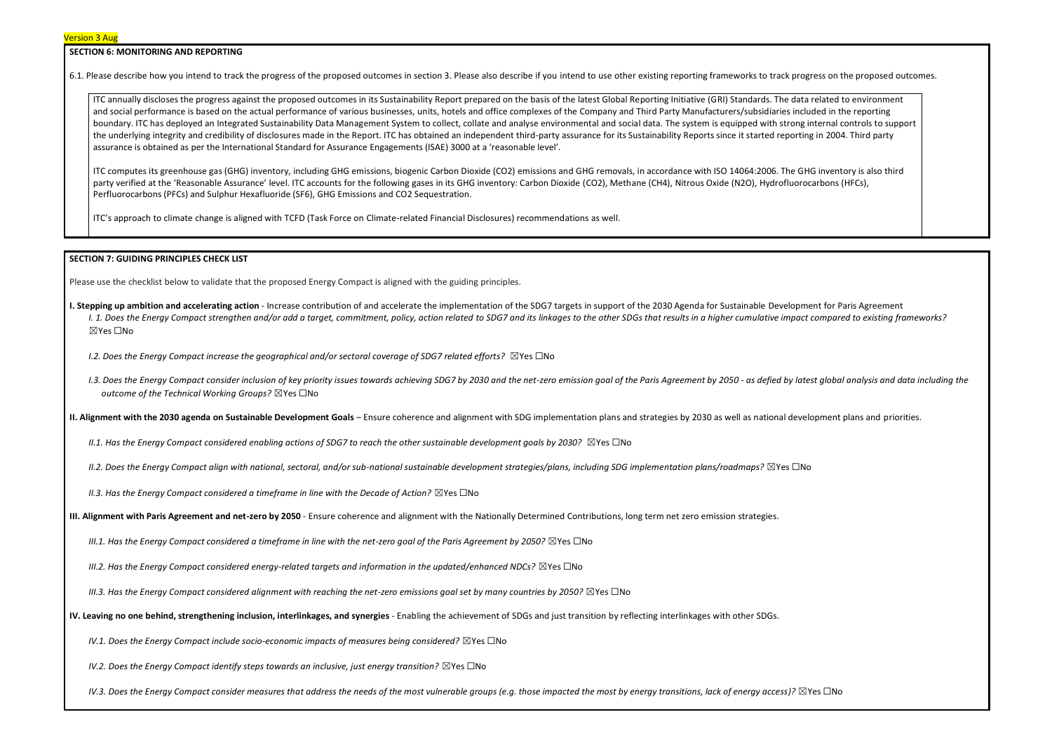#### **SECTION 6: MONITORING AND REPORTING**

6.1. Please describe how you intend to track the progress of the proposed outcomes in section 3. Please also describe if you intend to use other existing reporting frameworks to track progress on the proposed outcomes.

ITC annually discloses the progress against the proposed outcomes in its Sustainability Report prepared on the basis of the latest Global Reporting Initiative (GRI) Standards. The data related to environment and social performance is based on the actual performance of various businesses, units, hotels and office complexes of the Company and Third Party Manufacturers/subsidiaries included in the reporting boundary. ITC has deployed an Integrated Sustainability Data Management System to collect, collate and analyse environmental and social data. The system is equipped with strong internal controls to support the underlying integrity and credibility of disclosures made in the Report. ITC has obtained an independent third-party assurance for its Sustainability Reports since it started reporting in 2004. Third party assurance is obtained as per the International Standard for Assurance Engagements (ISAE) 3000 at a 'reasonable level'.

- **I. Stepping up ambition and accelerating action** Increase contribution of and accelerate the implementation of the SDG7 targets in support of the 2030 Agenda for Sustainable Development for Paris Agreement I. 1. Does the Energy Compact strengthen and/or add a target, commitment, policy, action related to SDG7 and its linkages to the other SDGs that results in a higher cumulative impact compared to existing frameworks? ☒Yes ☐No
	- *I.2. Does the Energy Compact increase the geographical and/or sectoral coverage of SDG7 related efforts?* ⊠Yes □No
	- 1.3. Does the Energy Compact consider inclusion of key priority issues towards achieving SDG7 by 2030 and the net-zero emission goal of the Paris Agreement by 2050 as defied by latest global analysis and data including t *outcome of the Technical Working Groups?* ☒Yes ☐No

ITC computes its greenhouse gas (GHG) inventory, including GHG emissions, biogenic Carbon Dioxide (CO2) emissions and GHG removals, in accordance with ISO 14064:2006. The GHG inventory is also third party verified at the 'Reasonable Assurance' level. ITC accounts for the following gases in its GHG inventory: Carbon Dioxide (CO2), Methane (CH4), Nitrous Oxide (N2O), Hydrofluorocarbons (HFCs), Perfluorocarbons (PFCs) and Sulphur Hexafluoride (SF6), GHG Emissions and CO2 Sequestration.

ITC's approach to climate change is aligned with TCFD (Task Force on Climate-related Financial Disclosures) recommendations as well.

#### **SECTION 7: GUIDING PRINCIPLES CHECK LIST**

Please use the checklist below to validate that the proposed Energy Compact is aligned with the guiding principles.

**II. Alignment with the 2030 agenda on Sustainable Development Goals** – Ensure coherence and alignment with SDG implementation plans and strategies by 2030 as well as national development plans and priorities.

*II.1. Has the Energy Compact considered enabling actions of SDG7 to reach the other sustainable development goals by 2030?* ⊠Yes □No

*II.2. Does the Energy Compact align with national, sectoral, and/or sub-national sustainable development strategies/plans, including SDG implementation plans/roadmaps?* ☒Yes ☐No

*II.3. Has the Energy Compact considered a timeframe in line with the Decade of Action?* ⊠Yes □No

**III. Alignment with Paris Agreement and net-zero by 2050** - Ensure coherence and alignment with the Nationally Determined Contributions, long term net zero emission strategies.

*III.1. Has the Energy Compact considered a timeframe in line with the net-zero goal of the Paris Agreement by 2050?* ⊠Yes □No

*III.2. Has the Energy Compact considered energy-related targets and information in the updated/enhanced NDCs?* ⊠Yes □No

*III.3. Has the Energy Compact considered alignment with reaching the net-zero emissions goal set by many countries by 2050?* ⊠Yes □No

**IV. Leaving no one behind, strengthening inclusion, interlinkages, and synergies** - Enabling the achievement of SDGs and just transition by reflecting interlinkages with other SDGs.

*IV.1. Does the Energy Compact include socio-economic impacts of measures being considered?* ⊠Yes □No

*IV.2. Does the Energy Compact identify steps towards an inclusive, just energy transition?* ⊠Yes □No

*IV.3. Does the Energy Compact consider measures that address the needs of the most vulnerable groups (e.g. those impacted the most by energy transitions, lack of energy access)?* ⊠Yes □No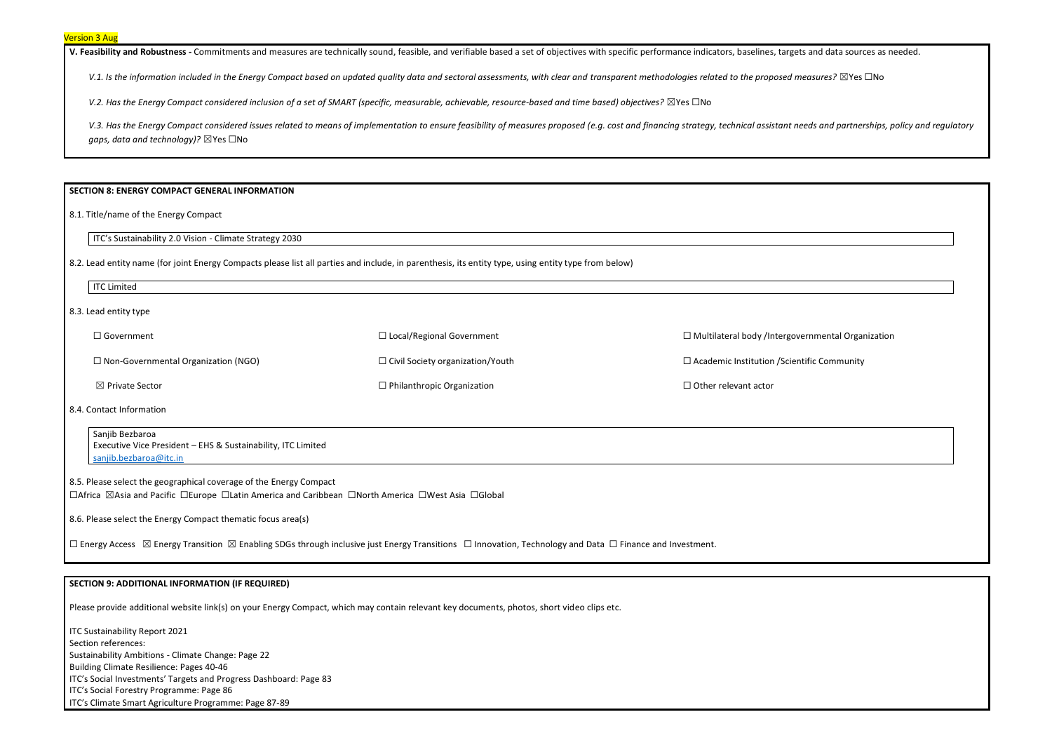V. Feasibility and Robustness - Commitments and measures are technically sound, feasible, and verifiable based a set of objectives with specific performance indicators, baselines, targeticators, baselines, targetical sourc

V.1. Is the information included in the Energy Compact based on updated quality data and sectoral assessments, with clear and *transparent methodologies related to the proposed* 

*V.2. Has the Energy Compact considered inclusion of a set of SMART (specific, measurable, achievable, resource-based and time based) objectives?* ⊠Yes □No

V.3. Has the Energy Compact considered issues related to means of implementation to ensure feasibility of measures proposed (e.g. cost and financing strategy, technical assistant *gaps, data and technology)?* ☒Yes ☐No

#### **SECTION 8: ENERGY COMPACT GENERAL INFORMATION**

8.1. Title/name of the Energy Compact

ITC's Sustainability 2.0 Vision - Climate Strategy 2030

8.2. Lead entity name (for joint Energy Compacts please list all parties and include, in parenthesis, its entity type, using entity type from below)

| <b>ITC Limited</b>                         |                                         |                                                          |
|--------------------------------------------|-----------------------------------------|----------------------------------------------------------|
| 8.3. Lead entity type                      |                                         |                                                          |
| $\Box$ Government                          | $\Box$ Local/Regional Government        | $\Box$ Multilateral body /Intergovernmental Organization |
| $\Box$ Non-Governmental Organization (NGO) | $\Box$ Civil Society organization/Youth | $\Box$ Academic Institution / Scientific Community       |
| $\boxtimes$ Private Sector                 | $\Box$ Philanthropic Organization       | $\Box$ Other relevant actor                              |
|                                            |                                         |                                                          |

8.4. Contact Information

Sanjib Bezbaroa Executive Vice President – EHS & Sustainability, ITC Limited [sanjib.bezbaroa@itc.in](mailto:sanjib.bezbaroa@itc.in)

8.5. Please select the geographical coverage of the Energy Compact ☐Africa ☒Asia and Pacific ☐Europe ☐Latin America and Caribbean ☐North America ☐West Asia ☐Global

8.6. Please select the Energy Compact thematic focus area(s)

□ Energy Access ⊠ Energy Transition ⊠ Enabling SDGs through inclusive just Energy Transitions □ Innovation, Technology and Data □ Finance and Investment.

## **SECTION 9: ADDITIONAL INFORMATION (IF REQUIRED)**

Please provide additional website link(s) on your Energy Compact, which may contain relevant key documents, photos, short video clips etc.

ITC Sustainability Report 2021 Section references: Sustainability Ambitions - Climate Change: Page 22 Building Climate Resilience: Pages 40-46 ITC's Social Investments' Targets and Progress Dashboard: Page 83 ITC's Social Forestry Programme: Page 86 ITC's Climate Smart Agriculture Programme: Page 87-89

| ets and data sources as needed.               |
|-----------------------------------------------|
| measures? ⊠Yes □No                            |
|                                               |
|                                               |
| needs and partnerships, policy and regulatory |
|                                               |
|                                               |
|                                               |
|                                               |
|                                               |
|                                               |
|                                               |
|                                               |
|                                               |
|                                               |
|                                               |
| overnmental Organization                      |
|                                               |
| entific Community                             |
|                                               |
|                                               |
|                                               |
|                                               |
|                                               |
|                                               |
|                                               |
|                                               |
|                                               |
|                                               |
|                                               |
|                                               |
|                                               |
|                                               |
|                                               |
|                                               |
|                                               |
|                                               |